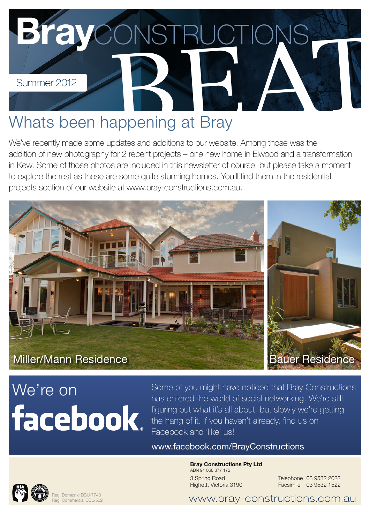

### Whats been happening at Bray

We've recently made some updates and additions to our website. Among those was the addition of new photography for 2 recent projects – one new home in Elwood and a transformation in Kew. Some of those photos are included in this newsletter of course, but please take a moment to explore the rest as these are some quite stunning homes. You'll find them in the residential projects section of our website at [www.bray-constructions.com.au](http://www.bray-constructions.com.au).



# **facebook**

[We're on](http://www.facebook.com/BrayConstructions) Some of you might have noticed that Bray Constructions has entered the world of social networking. We're still figuring out what it's all about, but slowly we're getting the hang of it. If you haven't already, find us on Facebook and 'like' us!

[www.facebook.com/BrayConstructions](http://www.facebook.com/BrayConstructions)

Bray Constructions Pty Ltd ABN 91 068 377 172 3 Spring Road Highett, Victoria 3190

Telephone 03 9532 2022 Facsimile 03 9532 1522



Reg. Domestic DBU-7740 Reg. Commercial CBL-502

[www.bray-constructions.com.au](http://www.bray-constructions.com.au)